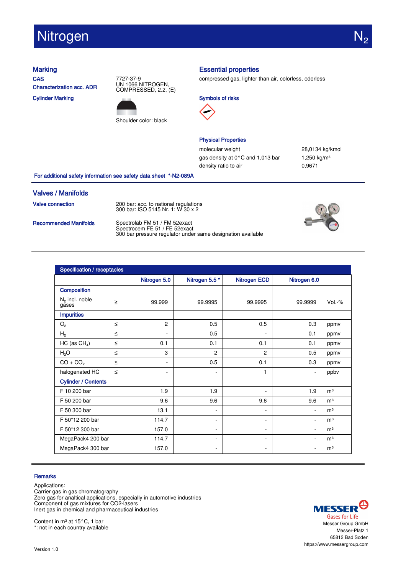# **Nitrogen**

**CAS** Characterization acc. ADR

Cylinder Marking





## Marking **Essential properties**

compressed gas, lighter than air, colorless, odorless





### Physical Properties

molecular weight 28,0134 kg/kmol gas density at  $0^{\circ}$ C and 1,013 bar 1,250 kg/m<sup>3</sup> density ratio to air 0,9671

For additional safety information see safety data sheet \*-N2-089A

### Valves / Manifolds

**Valve connection** 200 bar: acc. to national regulations

300 bar: ISO 5145 Nr. 1: W 30 x 2

Recommended Manifolds Spectrolab FM 51 / FM 52exact Spectrocem FE 51 / FE 52exact 300 bar pressure regulator under same designation available



| Specification / receptacles |        |                          |                          |                     |                          |                |  |
|-----------------------------|--------|--------------------------|--------------------------|---------------------|--------------------------|----------------|--|
|                             |        | Nitrogen 5.0             | Nitrogen 5.5*            | <b>Nitrogen ECD</b> | Nitrogen 6.0             |                |  |
| Composition                 |        |                          |                          |                     |                          |                |  |
| $N2$ incl. noble<br>gases   | $\geq$ | 99.999                   | 99.9995                  | 99.9995             | 99.9999                  | Vol.-%         |  |
| <b>Impurities</b>           |        |                          |                          |                     |                          |                |  |
| $\mathrm{O}_2$              | $\leq$ | $\overline{2}$           | 0.5                      | 0.5                 | 0.3                      | ppmv           |  |
| H <sub>2</sub>              | $\leq$ | $\overline{a}$           | 0.5                      | ۰                   | 0.1                      | ppmv           |  |
| $HC$ (as $CH4$ )            | $\leq$ | 0.1                      | 0.1                      | 0.1                 | 0.1                      | ppmv           |  |
| H <sub>2</sub> O            | $\leq$ | 3                        | $\overline{c}$           | $\overline{2}$      | 0.5                      | ppmv           |  |
| $CO + CO2$                  | $\leq$ | $\blacksquare$           | 0.5                      | 0.1                 | 0.3                      | ppmv           |  |
| halogenated HC              | $\leq$ | $\overline{\phantom{a}}$ | $\blacksquare$           | 1                   | ٠                        | ppbv           |  |
| <b>Cylinder / Contents</b>  |        |                          |                          |                     |                          |                |  |
| F 10 200 bar                |        | 1.9                      | 1.9                      | ٠                   | 1.9                      | m <sup>3</sup> |  |
| F 50 200 bar                |        | 9.6                      | 9.6                      | 9.6                 | 9.6                      | m <sup>3</sup> |  |
| F 50 300 bar                |        | 13.1                     | ۰                        | ۰                   |                          | m <sup>3</sup> |  |
| F 50*12 200 bar             |        | 114.7                    | $\overline{\phantom{a}}$ | ۰                   | ÷.                       | m <sup>3</sup> |  |
| F 50*12 300 bar             |        | 157.0                    | ۰                        | ۰                   | ٠                        | m <sup>3</sup> |  |
| MegaPack4 200 bar           |        | 114.7                    | ۰                        | ۰                   | ٠                        | m <sup>3</sup> |  |
| MegaPack4 300 bar           |        | 157.0                    | $\overline{\phantom{a}}$ | ۰                   | $\overline{\phantom{a}}$ | m <sup>3</sup> |  |

### **Remarks**

Applications: Carrier gas in gas chromatography Zero gas for analtical applications, especially in automotive industries Component of gas mixtures for CO2-lasers Inert gas in chemical and pharmaceutical industries

Content in m<sup>3</sup> at 15 $^{\circ}$ C, 1 bar \*: not in each country available